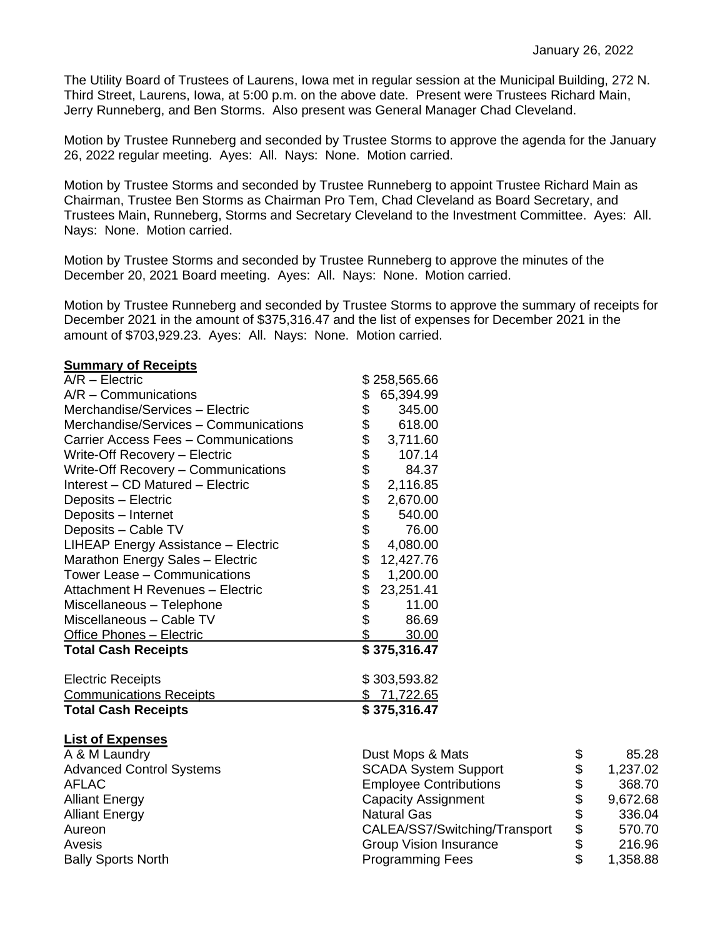The Utility Board of Trustees of Laurens, Iowa met in regular session at the Municipal Building, 272 N. Third Street, Laurens, Iowa, at 5:00 p.m. on the above date. Present were Trustees Richard Main, Jerry Runneberg, and Ben Storms. Also present was General Manager Chad Cleveland.

Motion by Trustee Runneberg and seconded by Trustee Storms to approve the agenda for the January 26, 2022 regular meeting. Ayes: All. Nays: None. Motion carried.

Motion by Trustee Storms and seconded by Trustee Runneberg to appoint Trustee Richard Main as Chairman, Trustee Ben Storms as Chairman Pro Tem, Chad Cleveland as Board Secretary, and Trustees Main, Runneberg, Storms and Secretary Cleveland to the Investment Committee. Ayes: All. Nays: None. Motion carried.

Motion by Trustee Storms and seconded by Trustee Runneberg to approve the minutes of the December 20, 2021 Board meeting. Ayes: All. Nays: None. Motion carried.

Motion by Trustee Runneberg and seconded by Trustee Storms to approve the summary of receipts for December 2021 in the amount of \$375,316.47 and the list of expenses for December 2021 in the amount of \$703,929.23. Ayes: All. Nays: None. Motion carried.

## **Summary of Receipts**

| $A/R - Electric$                      | \$258,565.66         |             |
|---------------------------------------|----------------------|-------------|
| $A/R - \text{Communications}$         | 65,394.99<br>\$      |             |
| Merchandise/Services - Electric       | \$<br>345.00         |             |
| Merchandise/Services - Communications | \$<br>618.00         |             |
| Carrier Access Fees - Communications  | \$<br>3,711.60       |             |
| Write-Off Recovery - Electric         | \$<br>107.14         |             |
| Write-Off Recovery - Communications   | \$<br>84.37          |             |
| Interest - CD Matured - Electric      | 2,116.85             |             |
| Deposits - Electric                   | \$<br>\$<br>2,670.00 |             |
| Deposits – Internet                   | 540.00               |             |
| Deposits - Cable TV                   | \$\$<br>76.00        |             |
| LIHEAP Energy Assistance - Electric   | 4,080.00             |             |
| Marathon Energy Sales - Electric      | \$<br>12,427.76      |             |
| Tower Lease - Communications          | \$<br>1,200.00       |             |
| Attachment H Revenues - Electric      | \$<br>23,251.41      |             |
| Miscellaneous - Telephone             | \$<br>11.00          |             |
| Miscellaneous - Cable TV              | \$<br>86.69          |             |
| Office Phones - Electric              | 30.00                |             |
| <b>Total Cash Receipts</b>            | \$375,316.47         |             |
| <b>Electric Receipts</b>              | \$303,593.82         |             |
| <b>Communications Receipts</b>        | \$71,722.65          |             |
| <b>Total Cash Receipts</b>            | \$375,316.47         |             |
| <b>List of Expenses</b>               |                      |             |
| A & M Laundry                         | Dust Mops & Mats     | \$<br>85.28 |
|                                       |                      |             |

| A & M Launury                   | DUST MODS & Mats              | Œ  | OJ.ZO    |
|---------------------------------|-------------------------------|----|----------|
| <b>Advanced Control Systems</b> | <b>SCADA System Support</b>   | \$ | 1,237.02 |
| AFLAC                           | <b>Employee Contributions</b> |    | 368.70   |
| <b>Alliant Energy</b>           | Capacity Assignment           |    | 9,672.68 |
| <b>Alliant Energy</b>           | <b>Natural Gas</b>            |    | 336.04   |
| Aureon                          | CALEA/SS7/Switching/Transport | \$ | 570.70   |
| Avesis                          | <b>Group Vision Insurance</b> |    | 216.96   |
| <b>Bally Sports North</b>       | <b>Programming Fees</b>       |    | 1,358.88 |
|                                 |                               |    |          |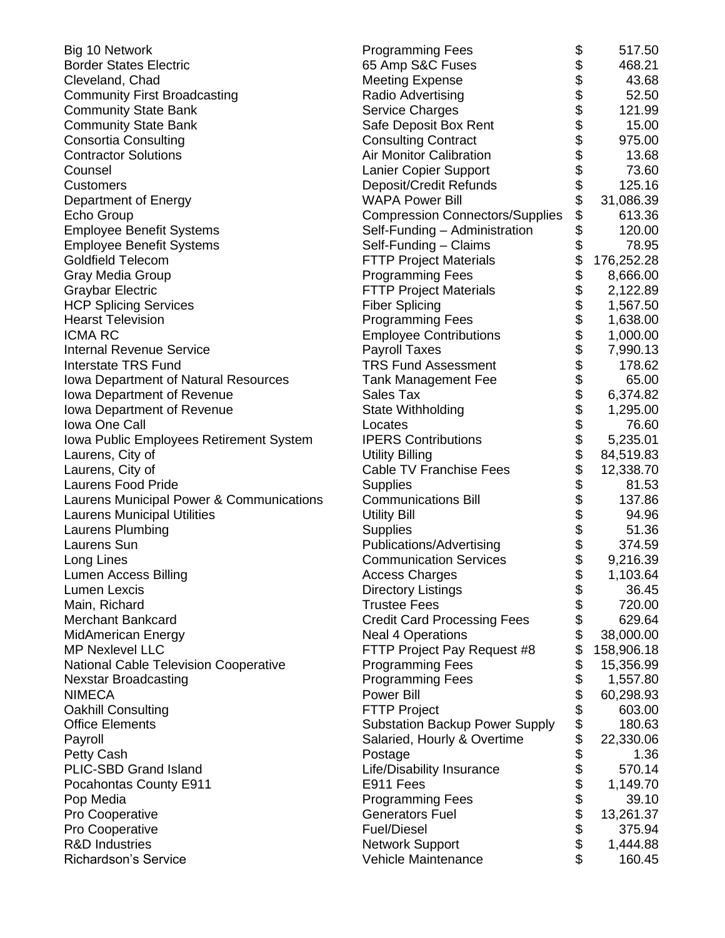| \$<br>\$<br><b>Border States Electric</b><br>65 Amp S&C Fuses<br>468.21<br>\$\$\$\$\$\$\$\$<br>43.68<br>Cleveland, Chad<br><b>Meeting Expense</b><br>52.50<br><b>Community First Broadcasting</b><br>Radio Advertising<br><b>Community State Bank</b><br>Service Charges<br>121.99<br><b>Community State Bank</b><br>Safe Deposit Box Rent<br>15.00<br>975.00<br><b>Consortia Consulting</b><br><b>Consulting Contract</b><br><b>Contractor Solutions</b><br><b>Air Monitor Calibration</b><br>13.68<br>73.60<br>Lanier Copier Support<br>Counsel<br>\$<br>125.16<br>Deposit/Credit Refunds<br><b>Customers</b><br>\$<br><b>WAPA Power Bill</b><br>31,086.39<br>Department of Energy<br>\$<br>613.36<br><b>Compression Connectors/Supplies</b><br>Echo Group<br>\$<br>120.00<br><b>Employee Benefit Systems</b><br>Self-Funding - Administration<br>\$<br>Self-Funding - Claims<br><b>Employee Benefit Systems</b><br>78.95<br>\$\$\$\$\$\$\$\$\$\$\$\$\$\$\$\$\$<br><b>FTTP Project Materials</b><br>176,252.28<br><b>Goldfield Telecom</b><br>Gray Media Group<br><b>Programming Fees</b><br>8,666.00<br><b>FTTP Project Materials</b><br><b>Graybar Electric</b><br>2,122.89<br><b>HCP Splicing Services</b><br><b>Fiber Splicing</b><br>1,567.50<br><b>Hearst Television</b><br><b>Programming Fees</b><br>1,638.00<br><b>ICMA RC</b><br>1,000.00<br><b>Employee Contributions</b><br><b>Internal Revenue Service</b><br><b>Payroll Taxes</b><br>7,990.13<br><b>TRS Fund Assessment</b><br><b>Interstate TRS Fund</b><br>178.62 |
|-------------------------------------------------------------------------------------------------------------------------------------------------------------------------------------------------------------------------------------------------------------------------------------------------------------------------------------------------------------------------------------------------------------------------------------------------------------------------------------------------------------------------------------------------------------------------------------------------------------------------------------------------------------------------------------------------------------------------------------------------------------------------------------------------------------------------------------------------------------------------------------------------------------------------------------------------------------------------------------------------------------------------------------------------------------------------------------------------------------------------------------------------------------------------------------------------------------------------------------------------------------------------------------------------------------------------------------------------------------------------------------------------------------------------------------------------------------------------------------------------------------------------------------|
|                                                                                                                                                                                                                                                                                                                                                                                                                                                                                                                                                                                                                                                                                                                                                                                                                                                                                                                                                                                                                                                                                                                                                                                                                                                                                                                                                                                                                                                                                                                                     |
|                                                                                                                                                                                                                                                                                                                                                                                                                                                                                                                                                                                                                                                                                                                                                                                                                                                                                                                                                                                                                                                                                                                                                                                                                                                                                                                                                                                                                                                                                                                                     |
|                                                                                                                                                                                                                                                                                                                                                                                                                                                                                                                                                                                                                                                                                                                                                                                                                                                                                                                                                                                                                                                                                                                                                                                                                                                                                                                                                                                                                                                                                                                                     |
|                                                                                                                                                                                                                                                                                                                                                                                                                                                                                                                                                                                                                                                                                                                                                                                                                                                                                                                                                                                                                                                                                                                                                                                                                                                                                                                                                                                                                                                                                                                                     |
|                                                                                                                                                                                                                                                                                                                                                                                                                                                                                                                                                                                                                                                                                                                                                                                                                                                                                                                                                                                                                                                                                                                                                                                                                                                                                                                                                                                                                                                                                                                                     |
|                                                                                                                                                                                                                                                                                                                                                                                                                                                                                                                                                                                                                                                                                                                                                                                                                                                                                                                                                                                                                                                                                                                                                                                                                                                                                                                                                                                                                                                                                                                                     |
|                                                                                                                                                                                                                                                                                                                                                                                                                                                                                                                                                                                                                                                                                                                                                                                                                                                                                                                                                                                                                                                                                                                                                                                                                                                                                                                                                                                                                                                                                                                                     |
|                                                                                                                                                                                                                                                                                                                                                                                                                                                                                                                                                                                                                                                                                                                                                                                                                                                                                                                                                                                                                                                                                                                                                                                                                                                                                                                                                                                                                                                                                                                                     |
|                                                                                                                                                                                                                                                                                                                                                                                                                                                                                                                                                                                                                                                                                                                                                                                                                                                                                                                                                                                                                                                                                                                                                                                                                                                                                                                                                                                                                                                                                                                                     |
|                                                                                                                                                                                                                                                                                                                                                                                                                                                                                                                                                                                                                                                                                                                                                                                                                                                                                                                                                                                                                                                                                                                                                                                                                                                                                                                                                                                                                                                                                                                                     |
|                                                                                                                                                                                                                                                                                                                                                                                                                                                                                                                                                                                                                                                                                                                                                                                                                                                                                                                                                                                                                                                                                                                                                                                                                                                                                                                                                                                                                                                                                                                                     |
|                                                                                                                                                                                                                                                                                                                                                                                                                                                                                                                                                                                                                                                                                                                                                                                                                                                                                                                                                                                                                                                                                                                                                                                                                                                                                                                                                                                                                                                                                                                                     |
|                                                                                                                                                                                                                                                                                                                                                                                                                                                                                                                                                                                                                                                                                                                                                                                                                                                                                                                                                                                                                                                                                                                                                                                                                                                                                                                                                                                                                                                                                                                                     |
|                                                                                                                                                                                                                                                                                                                                                                                                                                                                                                                                                                                                                                                                                                                                                                                                                                                                                                                                                                                                                                                                                                                                                                                                                                                                                                                                                                                                                                                                                                                                     |
|                                                                                                                                                                                                                                                                                                                                                                                                                                                                                                                                                                                                                                                                                                                                                                                                                                                                                                                                                                                                                                                                                                                                                                                                                                                                                                                                                                                                                                                                                                                                     |
|                                                                                                                                                                                                                                                                                                                                                                                                                                                                                                                                                                                                                                                                                                                                                                                                                                                                                                                                                                                                                                                                                                                                                                                                                                                                                                                                                                                                                                                                                                                                     |
|                                                                                                                                                                                                                                                                                                                                                                                                                                                                                                                                                                                                                                                                                                                                                                                                                                                                                                                                                                                                                                                                                                                                                                                                                                                                                                                                                                                                                                                                                                                                     |
|                                                                                                                                                                                                                                                                                                                                                                                                                                                                                                                                                                                                                                                                                                                                                                                                                                                                                                                                                                                                                                                                                                                                                                                                                                                                                                                                                                                                                                                                                                                                     |
|                                                                                                                                                                                                                                                                                                                                                                                                                                                                                                                                                                                                                                                                                                                                                                                                                                                                                                                                                                                                                                                                                                                                                                                                                                                                                                                                                                                                                                                                                                                                     |
|                                                                                                                                                                                                                                                                                                                                                                                                                                                                                                                                                                                                                                                                                                                                                                                                                                                                                                                                                                                                                                                                                                                                                                                                                                                                                                                                                                                                                                                                                                                                     |
|                                                                                                                                                                                                                                                                                                                                                                                                                                                                                                                                                                                                                                                                                                                                                                                                                                                                                                                                                                                                                                                                                                                                                                                                                                                                                                                                                                                                                                                                                                                                     |
| Iowa Department of Natural Resources<br><b>Tank Management Fee</b><br>65.00                                                                                                                                                                                                                                                                                                                                                                                                                                                                                                                                                                                                                                                                                                                                                                                                                                                                                                                                                                                                                                                                                                                                                                                                                                                                                                                                                                                                                                                         |
| Iowa Department of Revenue<br>6,374.82<br>Sales Tax                                                                                                                                                                                                                                                                                                                                                                                                                                                                                                                                                                                                                                                                                                                                                                                                                                                                                                                                                                                                                                                                                                                                                                                                                                                                                                                                                                                                                                                                                 |
| Iowa Department of Revenue<br>State Withholding<br>1,295.00                                                                                                                                                                                                                                                                                                                                                                                                                                                                                                                                                                                                                                                                                                                                                                                                                                                                                                                                                                                                                                                                                                                                                                                                                                                                                                                                                                                                                                                                         |
| Iowa One Call<br>76.60<br>Locates                                                                                                                                                                                                                                                                                                                                                                                                                                                                                                                                                                                                                                                                                                                                                                                                                                                                                                                                                                                                                                                                                                                                                                                                                                                                                                                                                                                                                                                                                                   |
| <b>IPERS Contributions</b><br>5,235.01<br>Iowa Public Employees Retirement System                                                                                                                                                                                                                                                                                                                                                                                                                                                                                                                                                                                                                                                                                                                                                                                                                                                                                                                                                                                                                                                                                                                                                                                                                                                                                                                                                                                                                                                   |
| Laurens, City of<br><b>Utility Billing</b><br>84,519.83                                                                                                                                                                                                                                                                                                                                                                                                                                                                                                                                                                                                                                                                                                                                                                                                                                                                                                                                                                                                                                                                                                                                                                                                                                                                                                                                                                                                                                                                             |
| 12,338.70<br>Laurens, City of<br><b>Cable TV Franchise Fees</b>                                                                                                                                                                                                                                                                                                                                                                                                                                                                                                                                                                                                                                                                                                                                                                                                                                                                                                                                                                                                                                                                                                                                                                                                                                                                                                                                                                                                                                                                     |
| \$<br>Laurens Food Pride<br>81.53<br><b>Supplies</b>                                                                                                                                                                                                                                                                                                                                                                                                                                                                                                                                                                                                                                                                                                                                                                                                                                                                                                                                                                                                                                                                                                                                                                                                                                                                                                                                                                                                                                                                                |
| \$<br><b>Communications Bill</b><br>137.86<br>Laurens Municipal Power & Communications                                                                                                                                                                                                                                                                                                                                                                                                                                                                                                                                                                                                                                                                                                                                                                                                                                                                                                                                                                                                                                                                                                                                                                                                                                                                                                                                                                                                                                              |
| <b>Laurens Municipal Utilities</b><br><b>Utility Bill</b><br>94.96                                                                                                                                                                                                                                                                                                                                                                                                                                                                                                                                                                                                                                                                                                                                                                                                                                                                                                                                                                                                                                                                                                                                                                                                                                                                                                                                                                                                                                                                  |
| \$\$\$\$<br>51.36<br>Laurens Plumbing<br><b>Supplies</b>                                                                                                                                                                                                                                                                                                                                                                                                                                                                                                                                                                                                                                                                                                                                                                                                                                                                                                                                                                                                                                                                                                                                                                                                                                                                                                                                                                                                                                                                            |
| Laurens Sun<br>Publications/Advertising<br>374.59                                                                                                                                                                                                                                                                                                                                                                                                                                                                                                                                                                                                                                                                                                                                                                                                                                                                                                                                                                                                                                                                                                                                                                                                                                                                                                                                                                                                                                                                                   |
| Long Lines<br><b>Communication Services</b><br>9,216.39                                                                                                                                                                                                                                                                                                                                                                                                                                                                                                                                                                                                                                                                                                                                                                                                                                                                                                                                                                                                                                                                                                                                                                                                                                                                                                                                                                                                                                                                             |
| Lumen Access Billing<br><b>Access Charges</b><br>1,103.64                                                                                                                                                                                                                                                                                                                                                                                                                                                                                                                                                                                                                                                                                                                                                                                                                                                                                                                                                                                                                                                                                                                                                                                                                                                                                                                                                                                                                                                                           |
| \$<br><b>Directory Listings</b><br>36.45<br><b>Lumen Lexcis</b>                                                                                                                                                                                                                                                                                                                                                                                                                                                                                                                                                                                                                                                                                                                                                                                                                                                                                                                                                                                                                                                                                                                                                                                                                                                                                                                                                                                                                                                                     |
| \$<br>Main, Richard<br><b>Trustee Fees</b><br>720.00                                                                                                                                                                                                                                                                                                                                                                                                                                                                                                                                                                                                                                                                                                                                                                                                                                                                                                                                                                                                                                                                                                                                                                                                                                                                                                                                                                                                                                                                                |
| \$<br><b>Merchant Bankcard</b><br><b>Credit Card Processing Fees</b><br>629.64                                                                                                                                                                                                                                                                                                                                                                                                                                                                                                                                                                                                                                                                                                                                                                                                                                                                                                                                                                                                                                                                                                                                                                                                                                                                                                                                                                                                                                                      |
| \$<br><b>MidAmerican Energy</b><br><b>Neal 4 Operations</b><br>38,000.00                                                                                                                                                                                                                                                                                                                                                                                                                                                                                                                                                                                                                                                                                                                                                                                                                                                                                                                                                                                                                                                                                                                                                                                                                                                                                                                                                                                                                                                            |
| \$<br><b>MP Nexlevel LLC</b><br>FTTP Project Pay Request #8<br>158,906.18                                                                                                                                                                                                                                                                                                                                                                                                                                                                                                                                                                                                                                                                                                                                                                                                                                                                                                                                                                                                                                                                                                                                                                                                                                                                                                                                                                                                                                                           |
| \$<br>National Cable Television Cooperative<br><b>Programming Fees</b><br>15,356.99                                                                                                                                                                                                                                                                                                                                                                                                                                                                                                                                                                                                                                                                                                                                                                                                                                                                                                                                                                                                                                                                                                                                                                                                                                                                                                                                                                                                                                                 |
| \$<br><b>Programming Fees</b><br>1,557.80<br><b>Nexstar Broadcasting</b>                                                                                                                                                                                                                                                                                                                                                                                                                                                                                                                                                                                                                                                                                                                                                                                                                                                                                                                                                                                                                                                                                                                                                                                                                                                                                                                                                                                                                                                            |
| <b>NIMECA</b><br><b>Power Bill</b><br>60,298.93                                                                                                                                                                                                                                                                                                                                                                                                                                                                                                                                                                                                                                                                                                                                                                                                                                                                                                                                                                                                                                                                                                                                                                                                                                                                                                                                                                                                                                                                                     |
| \$<br><b>FTTP Project</b><br>603.00<br><b>Oakhill Consulting</b>                                                                                                                                                                                                                                                                                                                                                                                                                                                                                                                                                                                                                                                                                                                                                                                                                                                                                                                                                                                                                                                                                                                                                                                                                                                                                                                                                                                                                                                                    |
| \$<br><b>Substation Backup Power Supply</b><br>180.63<br><b>Office Elements</b>                                                                                                                                                                                                                                                                                                                                                                                                                                                                                                                                                                                                                                                                                                                                                                                                                                                                                                                                                                                                                                                                                                                                                                                                                                                                                                                                                                                                                                                     |
| \$<br>Payroll<br>Salaried, Hourly & Overtime<br>22,330.06                                                                                                                                                                                                                                                                                                                                                                                                                                                                                                                                                                                                                                                                                                                                                                                                                                                                                                                                                                                                                                                                                                                                                                                                                                                                                                                                                                                                                                                                           |
| \$<br>Petty Cash<br>1.36<br>Postage                                                                                                                                                                                                                                                                                                                                                                                                                                                                                                                                                                                                                                                                                                                                                                                                                                                                                                                                                                                                                                                                                                                                                                                                                                                                                                                                                                                                                                                                                                 |
| \$<br>PLIC-SBD Grand Island<br>Life/Disability Insurance<br>570.14                                                                                                                                                                                                                                                                                                                                                                                                                                                                                                                                                                                                                                                                                                                                                                                                                                                                                                                                                                                                                                                                                                                                                                                                                                                                                                                                                                                                                                                                  |
| \$<br>E911 Fees<br>1,149.70<br>Pocahontas County E911                                                                                                                                                                                                                                                                                                                                                                                                                                                                                                                                                                                                                                                                                                                                                                                                                                                                                                                                                                                                                                                                                                                                                                                                                                                                                                                                                                                                                                                                               |
| \$<br><b>Programming Fees</b><br>39.10<br>Pop Media                                                                                                                                                                                                                                                                                                                                                                                                                                                                                                                                                                                                                                                                                                                                                                                                                                                                                                                                                                                                                                                                                                                                                                                                                                                                                                                                                                                                                                                                                 |
| \$<br><b>Generators Fuel</b><br>Pro Cooperative<br>13,261.37                                                                                                                                                                                                                                                                                                                                                                                                                                                                                                                                                                                                                                                                                                                                                                                                                                                                                                                                                                                                                                                                                                                                                                                                                                                                                                                                                                                                                                                                        |
| \$<br><b>Fuel/Diesel</b><br>Pro Cooperative<br>375.94                                                                                                                                                                                                                                                                                                                                                                                                                                                                                                                                                                                                                                                                                                                                                                                                                                                                                                                                                                                                                                                                                                                                                                                                                                                                                                                                                                                                                                                                               |
| \$<br><b>R&amp;D Industries</b><br><b>Network Support</b><br>1,444.88                                                                                                                                                                                                                                                                                                                                                                                                                                                                                                                                                                                                                                                                                                                                                                                                                                                                                                                                                                                                                                                                                                                                                                                                                                                                                                                                                                                                                                                               |
| \$<br>Richardson's Service<br>Vehicle Maintenance<br>160.45                                                                                                                                                                                                                                                                                                                                                                                                                                                                                                                                                                                                                                                                                                                                                                                                                                                                                                                                                                                                                                                                                                                                                                                                                                                                                                                                                                                                                                                                         |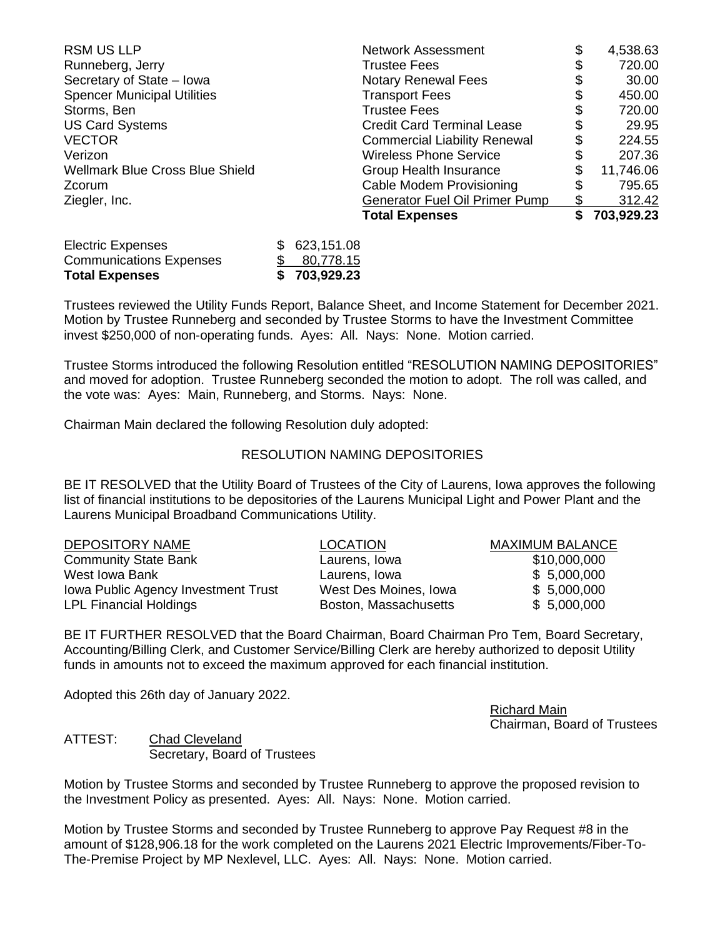| <b>RSM US LLP</b>                      | <b>Network Assessment</b>             | \$ | 4,538.63   |
|----------------------------------------|---------------------------------------|----|------------|
| Runneberg, Jerry                       | <b>Trustee Fees</b>                   | \$ | 720.00     |
| Secretary of State - Iowa              | <b>Notary Renewal Fees</b>            | \$ | 30.00      |
| <b>Spencer Municipal Utilities</b>     | <b>Transport Fees</b>                 | \$ | 450.00     |
| Storms, Ben                            | <b>Trustee Fees</b>                   | \$ | 720.00     |
| <b>US Card Systems</b>                 | <b>Credit Card Terminal Lease</b>     | \$ | 29.95      |
| <b>VECTOR</b>                          | <b>Commercial Liability Renewal</b>   | \$ | 224.55     |
| Verizon                                | <b>Wireless Phone Service</b>         | \$ | 207.36     |
| <b>Wellmark Blue Cross Blue Shield</b> | Group Health Insurance                | S  | 11,746.06  |
| Zcorum                                 | <b>Cable Modem Provisioning</b>       | \$ | 795.65     |
| Ziegler, Inc.                          | <b>Generator Fuel Oil Primer Pump</b> | \$ | 312.42     |
|                                        | <b>Total Expenses</b>                 | \$ | 703,929.23 |
|                                        |                                       |    |            |

| <b>Total Expenses</b>          | \$703,929.23 |
|--------------------------------|--------------|
| <b>Communications Expenses</b> | \$80,778.15  |
| <b>Electric Expenses</b>       | \$623,151.08 |

Trustees reviewed the Utility Funds Report, Balance Sheet, and Income Statement for December 2021. Motion by Trustee Runneberg and seconded by Trustee Storms to have the Investment Committee invest \$250,000 of non-operating funds. Ayes: All. Nays: None. Motion carried.

Trustee Storms introduced the following Resolution entitled "RESOLUTION NAMING DEPOSITORIES" and moved for adoption. Trustee Runneberg seconded the motion to adopt. The roll was called, and the vote was: Ayes: Main, Runneberg, and Storms. Nays: None.

Chairman Main declared the following Resolution duly adopted:

## RESOLUTION NAMING DEPOSITORIES

BE IT RESOLVED that the Utility Board of Trustees of the City of Laurens, Iowa approves the following list of financial institutions to be depositories of the Laurens Municipal Light and Power Plant and the Laurens Municipal Broadband Communications Utility.

| <b>DEPOSITORY NAME</b>              | <b>LOCATION</b>       | <b>MAXIMUM BALANCE</b> |
|-------------------------------------|-----------------------|------------------------|
| <b>Community State Bank</b>         | Laurens, Iowa         | \$10,000,000           |
| West Iowa Bank                      | Laurens, Iowa         | \$5,000,000            |
| Iowa Public Agency Investment Trust | West Des Moines, Iowa | \$5,000,000            |
| <b>LPL Financial Holdings</b>       | Boston, Massachusetts | \$5,000,000            |

BE IT FURTHER RESOLVED that the Board Chairman, Board Chairman Pro Tem, Board Secretary, Accounting/Billing Clerk, and Customer Service/Billing Clerk are hereby authorized to deposit Utility funds in amounts not to exceed the maximum approved for each financial institution.

Adopted this 26th day of January 2022.

Richard Main Chairman, Board of Trustees

ATTEST: Chad Cleveland Secretary, Board of Trustees

Motion by Trustee Storms and seconded by Trustee Runneberg to approve the proposed revision to the Investment Policy as presented. Ayes: All. Nays: None. Motion carried.

Motion by Trustee Storms and seconded by Trustee Runneberg to approve Pay Request #8 in the amount of \$128,906.18 for the work completed on the Laurens 2021 Electric Improvements/Fiber-To-The-Premise Project by MP Nexlevel, LLC. Ayes: All. Nays: None. Motion carried.